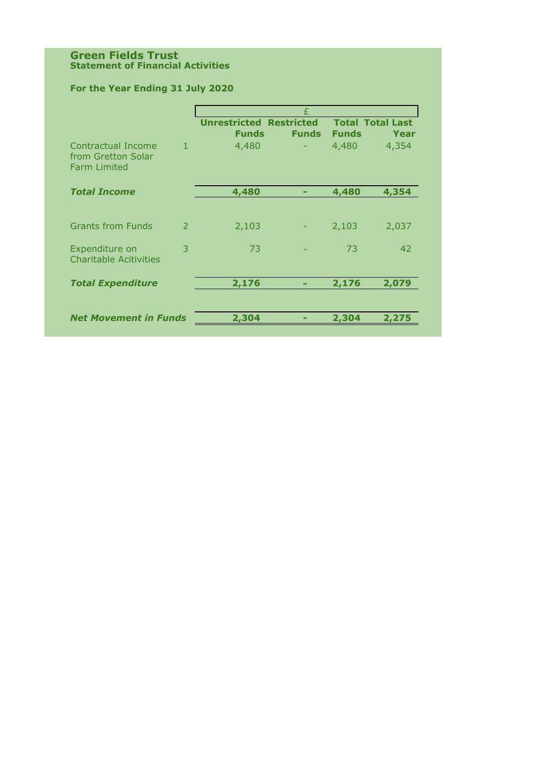#### **Green Fields Trust Statement of Financial Activities**

# **For the Year Ending 31 July 2020**

|                                                                 |               | £                                              |              |              |                                 |  |  |
|-----------------------------------------------------------------|---------------|------------------------------------------------|--------------|--------------|---------------------------------|--|--|
|                                                                 |               | <b>Unrestricted Restricted</b><br><b>Funds</b> | <b>Funds</b> | <b>Funds</b> | <b>Total Total Last</b><br>Year |  |  |
| Contractual Income<br>from Gretton Solar<br><b>Farm Limited</b> | $\mathbf{1}$  | 4,480                                          |              | 4,480        | 4,354                           |  |  |
| <b>Total Income</b>                                             |               | 4,480                                          |              | 4,480        | 4,354                           |  |  |
| <b>Grants from Funds</b>                                        | $\mathcal{P}$ | 2,103                                          |              | 2,103        | 2,037                           |  |  |
| Expenditure on<br><b>Charitable Acitivities</b>                 | 3             | 73                                             |              | 73           | 42                              |  |  |
| <b>Total Expenditure</b>                                        |               | 2,176                                          |              | 2,176        | 2,079                           |  |  |
| <b>Net Movement in Funds</b>                                    |               | 2,304                                          |              | 2,304        | 2,275                           |  |  |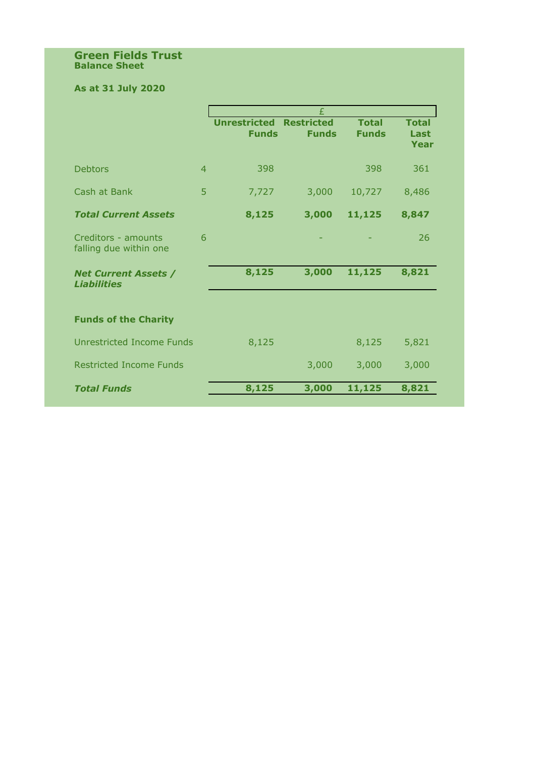#### **Green Fields Trust Balance Sheet**

## **As at 31 July 2020**

|                                                   |                |                                     | £                                 |                              |                              |
|---------------------------------------------------|----------------|-------------------------------------|-----------------------------------|------------------------------|------------------------------|
|                                                   |                | <b>Unrestricted</b><br><b>Funds</b> | <b>Restricted</b><br><b>Funds</b> | <b>Total</b><br><b>Funds</b> | <b>Total</b><br>Last<br>Year |
| <b>Debtors</b>                                    | $\overline{4}$ | 398                                 |                                   | 398                          | 361                          |
| Cash at Bank                                      | 5              | 7,727                               | 3,000                             | 10,727                       | 8,486                        |
| <b>Total Current Assets</b>                       |                | 8,125                               | 3,000                             | 11,125                       | 8,847                        |
| Creditors - amounts<br>falling due within one     | 6              |                                     |                                   |                              | 26                           |
| <b>Net Current Assets /</b><br><b>Liabilities</b> |                | 8,125                               | 3,000                             | 11,125                       | 8,821                        |
| <b>Funds of the Charity</b>                       |                |                                     |                                   |                              |                              |
| Unrestricted Income Funds                         |                | 8,125                               |                                   | 8,125                        | 5,821                        |
| <b>Restricted Income Funds</b>                    |                |                                     | 3,000                             | 3,000                        | 3,000                        |
| <b>Total Funds</b>                                |                | 8,125                               | 3,000                             | 11,125                       | 8,821                        |